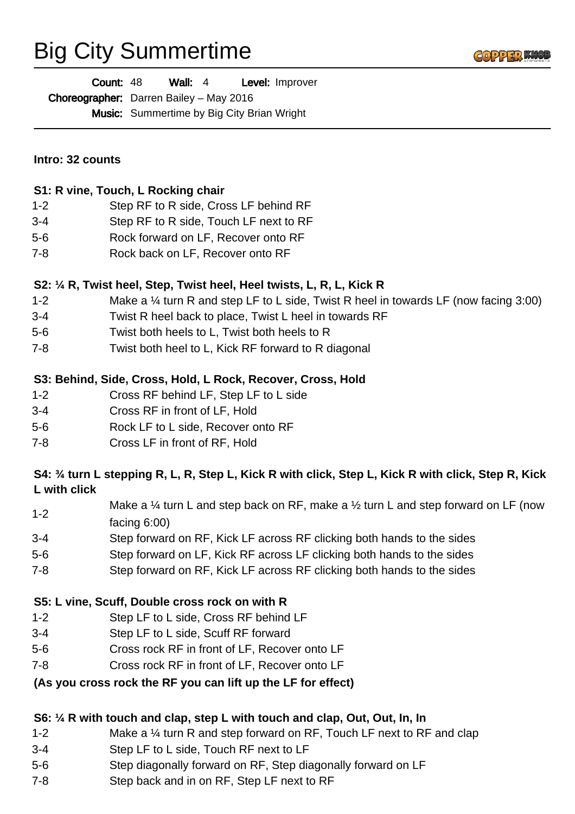# Big City Summertime



| <b>Count: 48</b>                               | Wall: $4$ |                                                   | Level: Improver |
|------------------------------------------------|-----------|---------------------------------------------------|-----------------|
| <b>Choreographer:</b> Darren Bailey - May 2016 |           |                                                   |                 |
|                                                |           | <b>Music:</b> Summertime by Big City Brian Wright |                 |

#### **Intro: 32 counts**

#### **S1: R vine, Touch, L Rocking chair**

- 1-2 Step RF to R side, Cross LF behind RF
- 3-4 Step RF to R side, Touch LF next to RF
- 5-6 Rock forward on LF, Recover onto RF
- 7-8 Rock back on LF, Recover onto RF

#### **S2: ¼ R, Twist heel, Step, Twist heel, Heel twists, L, R, L, Kick R**

- 1-2 Make a ¼ turn R and step LF to L side, Twist R heel in towards LF (now facing 3:00)
- 3-4 Twist R heel back to place, Twist L heel in towards RF
- 5-6 Twist both heels to L, Twist both heels to R
- 7-8 Twist both heel to L, Kick RF forward to R diagonal

## **S3: Behind, Side, Cross, Hold, L Rock, Recover, Cross, Hold**

- 1-2 Cross RF behind LF, Step LF to L side
- 3-4 Cross RF in front of LF, Hold
- 5-6 Rock LF to L side, Recover onto RF
- 7-8 Cross LF in front of RF, Hold

## **S4: ¾ turn L stepping R, L, R, Step L, Kick R with click, Step L, Kick R with click, Step R, Kick L with click**

- 1-2 Make a  $\frac{1}{4}$  turn L and step back on RF, make a  $\frac{1}{2}$  turn L and step forward on LF (now facing 6:00)
- 3-4 Step forward on RF, Kick LF across RF clicking both hands to the sides
- 5-6 Step forward on LF, Kick RF across LF clicking both hands to the sides
- 7-8 Step forward on RF, Kick LF across RF clicking both hands to the sides

#### **S5: L vine, Scuff, Double cross rock on with R**

- 1-2 Step LF to L side, Cross RF behind LF
- 3-4 Step LF to L side, Scuff RF forward
- 5-6 Cross rock RF in front of LF, Recover onto LF
- 7-8 Cross rock RF in front of LF, Recover onto LF

## **(As you cross rock the RF you can lift up the LF for effect)**

## **S6: ¼ R with touch and clap, step L with touch and clap, Out, Out, In, In**

- 1-2 Make a ¼ turn R and step forward on RF, Touch LF next to RF and clap
- 3-4 Step LF to L side, Touch RF next to LF
- 5-6 Step diagonally forward on RF, Step diagonally forward on LF
- 7-8 Step back and in on RF, Step LF next to RF